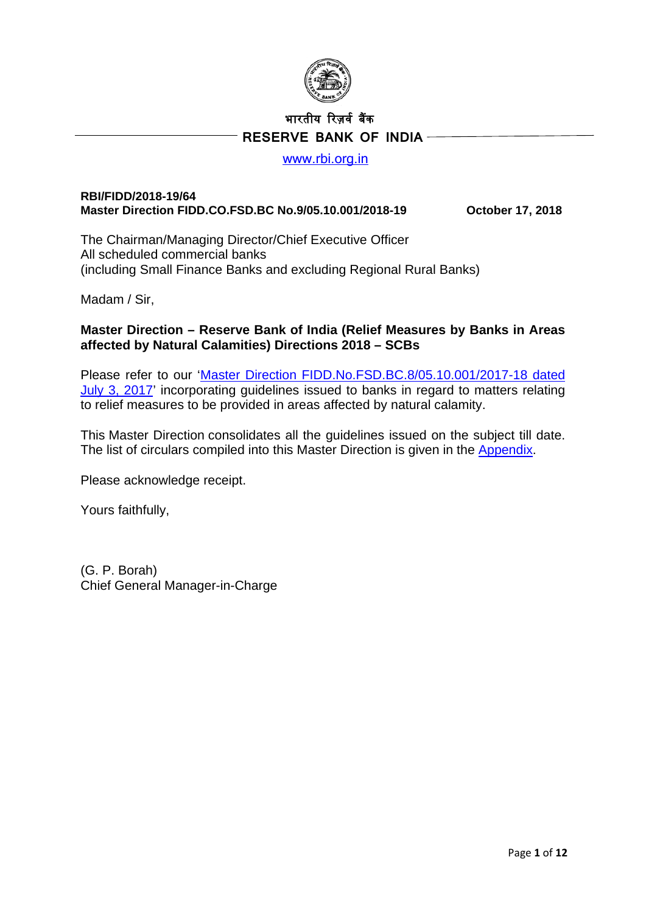

# भारतीय �रज़वर् ब�क  **RESERVE BANK OF INDIA**

#### [www.rbi.org.in](http://www.rbi.org.in/)

#### **RBI/FIDD/2018-19/64 Master Direction FIDD.CO.FSD.BC No.9/05.10.001/2018-19 October 17, 2018**

The Chairman/Managing Director/Chief Executive Officer All scheduled commercial banks (including Small Finance Banks and excluding Regional Rural Banks)

Madam / Sir,

#### **Master Direction – Reserve Bank of India (Relief Measures by Banks in Areas affected by Natural Calamities) Directions 2018 – SCBs**

Please refer to our ['Master Direction FIDD.No.FSD.BC.8/05.10.001/2017-18](https://www.rbi.org.in/Scripts/BS_ViewMasDirections.aspx?id=11037) dated [July 3, 2017'](https://www.rbi.org.in/Scripts/BS_ViewMasDirections.aspx?id=11037) incorporating guidelines issued to banks in regard to matters relating to relief measures to be provided in areas affected by natural calamity.

This Master Direction consolidates all the guidelines issued on the subject till date. The list of circulars compiled into this Master Direction is given in the [Appendix.](#page-11-0)

Please acknowledge receipt.

Yours faithfully,

(G. P. Borah) Chief General Manager-in-Charge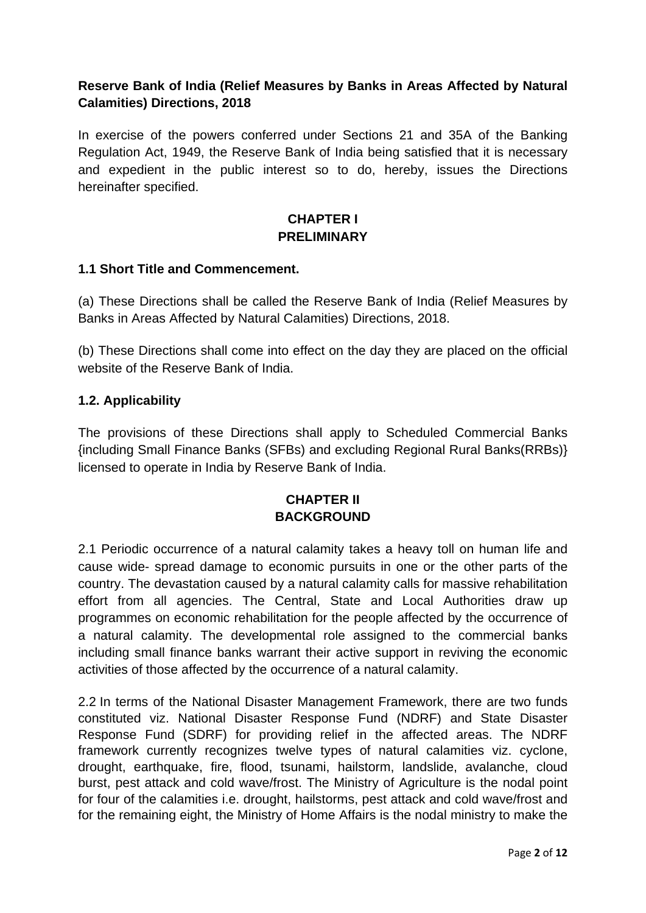## **Reserve Bank of India (Relief Measures by Banks in Areas Affected by Natural Calamities) Directions, 2018**

In exercise of the powers conferred under Sections 21 and 35A of the Banking Regulation Act, 1949, the Reserve Bank of India being satisfied that it is necessary and expedient in the public interest so to do, hereby, issues the Directions hereinafter specified.

#### **CHAPTER I PRELIMINARY**

#### **1.1 Short Title and Commencement.**

(a) These Directions shall be called the Reserve Bank of India (Relief Measures by Banks in Areas Affected by Natural Calamities) Directions, 2018.

(b) These Directions shall come into effect on the day they are placed on the official website of the Reserve Bank of India.

#### **1.2. Applicability**

The provisions of these Directions shall apply to Scheduled Commercial Banks {including Small Finance Banks (SFBs) and excluding Regional Rural Banks(RRBs)} licensed to operate in India by Reserve Bank of India.

## **CHAPTER II BACKGROUND**

2.1 Periodic occurrence of a natural calamity takes a heavy toll on human life and cause wide- spread damage to economic pursuits in one or the other parts of the country. The devastation caused by a natural calamity calls for massive rehabilitation effort from all agencies. The Central, State and Local Authorities draw up programmes on economic rehabilitation for the people affected by the occurrence of a natural calamity. The developmental role assigned to the commercial banks including small finance banks warrant their active support in reviving the economic activities of those affected by the occurrence of a natural calamity.

2.2 In terms of the National Disaster Management Framework, there are two funds constituted viz. National Disaster Response Fund (NDRF) and State Disaster Response Fund (SDRF) for providing relief in the affected areas. The NDRF framework currently recognizes twelve types of natural calamities viz. cyclone, drought, earthquake, fire, flood, tsunami, hailstorm, landslide, avalanche, cloud burst, pest attack and cold wave/frost. The Ministry of Agriculture is the nodal point for four of the calamities i.e. drought, hailstorms, pest attack and cold wave/frost and for the remaining eight, the Ministry of Home Affairs is the nodal ministry to make the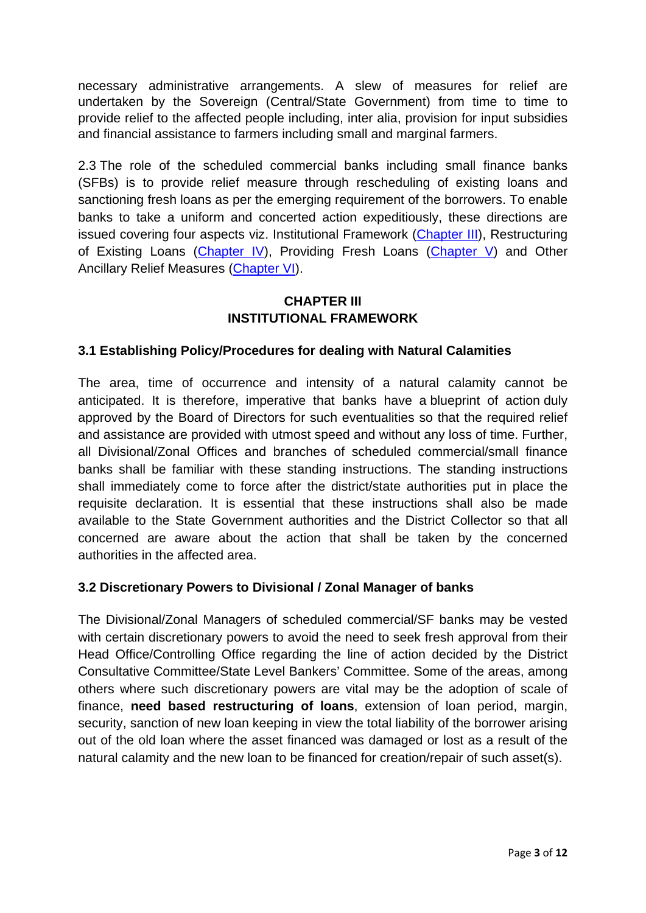necessary administrative arrangements. A slew of measures for relief are undertaken by the Sovereign (Central/State Government) from time to time to provide relief to the affected people including, inter alia, provision for input subsidies and financial assistance to farmers including small and marginal farmers.

2.3 The role of the scheduled commercial banks including small finance banks (SFBs) is to provide relief measure through rescheduling of existing loans and sanctioning fresh loans as per the emerging requirement of the borrowers. To enable banks to take a uniform and concerted action expeditiously, these directions are issued covering four aspects viz. Institutional Framework [\(Chapter III\)](#page-2-0), Restructuring of Existing Loans [\(Chapter IV\)](#page-4-0), Providing Fresh Loans [\(Chapter V\)](#page-7-0) and Other Ancillary Relief Measures [\(Chapter VI\)](#page-9-0).

# **CHAPTER III INSTITUTIONAL FRAMEWORK**

## <span id="page-2-0"></span>**3.1 Establishing Policy/Procedures for dealing with Natural Calamities**

The area, time of occurrence and intensity of a natural calamity cannot be anticipated. It is therefore, imperative that banks have a blueprint of action duly approved by the Board of Directors for such eventualities so that the required relief and assistance are provided with utmost speed and without any loss of time. Further, all Divisional/Zonal Offices and branches of scheduled commercial/small finance banks shall be familiar with these standing instructions. The standing instructions shall immediately come to force after the district/state authorities put in place the requisite declaration. It is essential that these instructions shall also be made available to the State Government authorities and the District Collector so that all concerned are aware about the action that shall be taken by the concerned authorities in the affected area.

## **3.2 Discretionary Powers to Divisional / Zonal Manager of banks**

The Divisional/Zonal Managers of scheduled commercial/SF banks may be vested with certain discretionary powers to avoid the need to seek fresh approval from their Head Office/Controlling Office regarding the line of action decided by the District Consultative Committee/State Level Bankers' Committee. Some of the areas, among others where such discretionary powers are vital may be the adoption of scale of finance, **need based restructuring of loans**, extension of loan period, margin, security, sanction of new loan keeping in view the total liability of the borrower arising out of the old loan where the asset financed was damaged or lost as a result of the natural calamity and the new loan to be financed for creation/repair of such asset(s).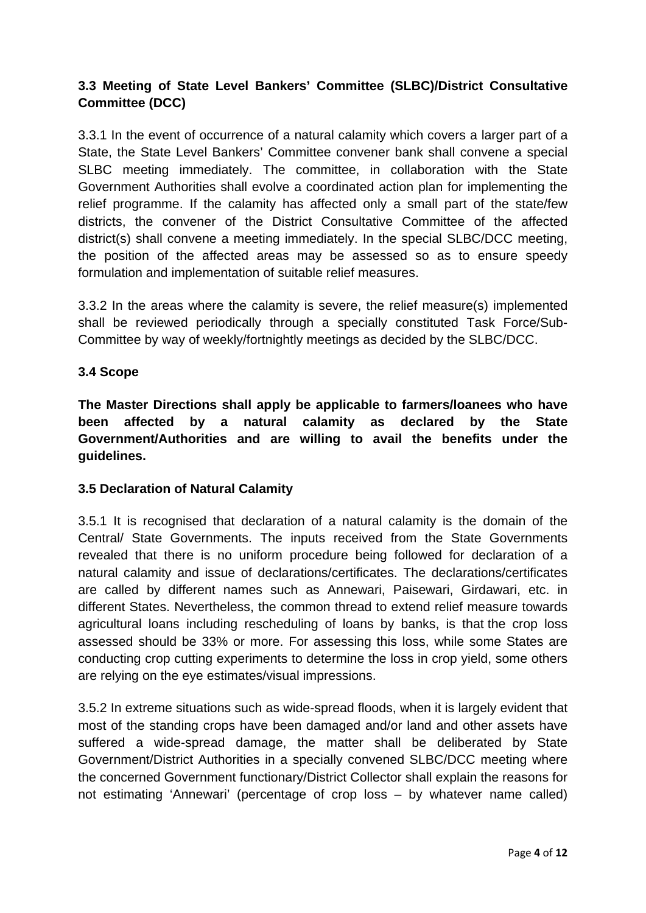# **3.3 Meeting of State Level Bankers' Committee (SLBC)/District Consultative Committee (DCC)**

3.3.1 In the event of occurrence of a natural calamity which covers a larger part of a State, the State Level Bankers' Committee convener bank shall convene a special SLBC meeting immediately. The committee, in collaboration with the State Government Authorities shall evolve a coordinated action plan for implementing the relief programme. If the calamity has affected only a small part of the state/few districts, the convener of the District Consultative Committee of the affected district(s) shall convene a meeting immediately. In the special SLBC/DCC meeting, the position of the affected areas may be assessed so as to ensure speedy formulation and implementation of suitable relief measures.

3.3.2 In the areas where the calamity is severe, the relief measure(s) implemented shall be reviewed periodically through a specially constituted Task Force/Sub-Committee by way of weekly/fortnightly meetings as decided by the SLBC/DCC.

#### **3.4 Scope**

**The Master Directions shall apply be applicable to farmers/loanees who have been affected by a natural calamity as declared by the State Government/Authorities and are willing to avail the benefits under the guidelines.**

#### **3.5 Declaration of Natural Calamity**

3.5.1 It is recognised that declaration of a natural calamity is the domain of the Central/ State Governments. The inputs received from the State Governments revealed that there is no uniform procedure being followed for declaration of a natural calamity and issue of declarations/certificates. The declarations/certificates are called by different names such as Annewari, Paisewari, Girdawari, etc. in different States. Nevertheless, the common thread to extend relief measure towards agricultural loans including rescheduling of loans by banks, is that the crop loss assessed should be 33% or more. For assessing this loss, while some States are conducting crop cutting experiments to determine the loss in crop yield, some others are relying on the eye estimates/visual impressions.

3.5.2 In extreme situations such as wide-spread floods, when it is largely evident that most of the standing crops have been damaged and/or land and other assets have suffered a wide-spread damage, the matter shall be deliberated by State Government/District Authorities in a specially convened SLBC/DCC meeting where the concerned Government functionary/District Collector shall explain the reasons for not estimating 'Annewari' (percentage of crop loss – by whatever name called)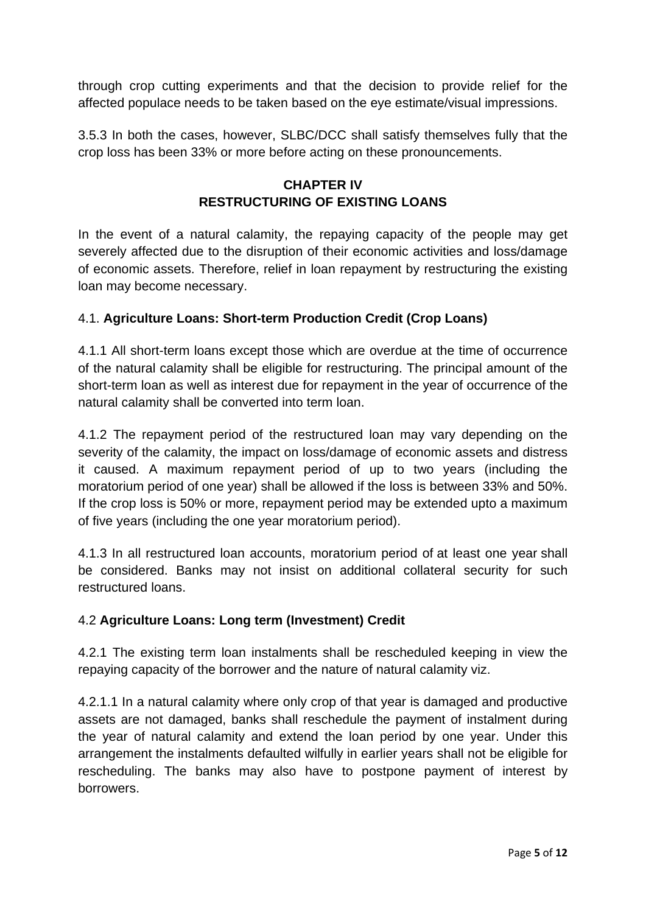through crop cutting experiments and that the decision to provide relief for the affected populace needs to be taken based on the eye estimate/visual impressions.

<span id="page-4-0"></span>3.5.3 In both the cases, however, SLBC/DCC shall satisfy themselves fully that the crop loss has been 33% or more before acting on these pronouncements.

# **CHAPTER IV RESTRUCTURING OF EXISTING LOANS**

In the event of a natural calamity, the repaying capacity of the people may get severely affected due to the disruption of their economic activities and loss/damage of economic assets. Therefore, relief in loan repayment by restructuring the existing loan may become necessary.

## 4.1. **Agriculture Loans: Short-term Production Credit (Crop Loans)**

4.1.1 All short-term loans except those which are overdue at the time of occurrence of the natural calamity shall be eligible for restructuring. The principal amount of the short-term loan as well as interest due for repayment in the year of occurrence of the natural calamity shall be converted into term loan.

4.1.2 The repayment period of the restructured loan may vary depending on the severity of the calamity, the impact on loss/damage of economic assets and distress it caused. A maximum repayment period of up to two years (including the moratorium period of one year) shall be allowed if the loss is between 33% and 50%. If the crop loss is 50% or more, repayment period may be extended upto a maximum of five years (including the one year moratorium period).

4.1.3 In all restructured loan accounts, moratorium period of at least one year shall be considered. Banks may not insist on additional collateral security for such restructured loans.

## 4.2 **Agriculture Loans: Long term (Investment) Credit**

4.2.1 The existing term loan instalments shall be rescheduled keeping in view the repaying capacity of the borrower and the nature of natural calamity viz.

4.2.1.1 In a natural calamity where only crop of that year is damaged and productive assets are not damaged, banks shall reschedule the payment of instalment during the year of natural calamity and extend the loan period by one year. Under this arrangement the instalments defaulted wilfully in earlier years shall not be eligible for rescheduling. The banks may also have to postpone payment of interest by borrowers.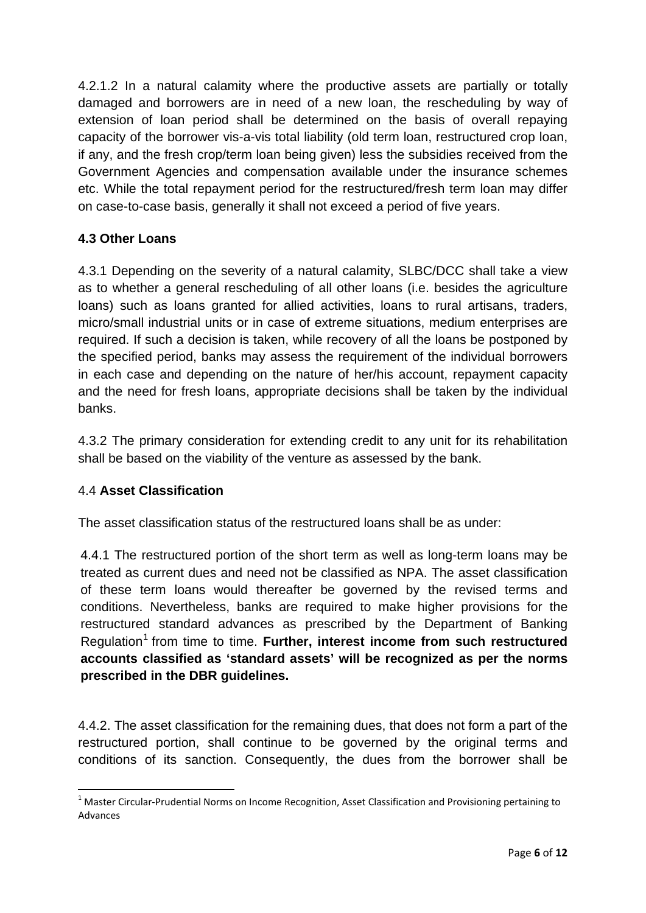4.2.1.2 In a natural calamity where the productive assets are partially or totally damaged and borrowers are in need of a new loan, the rescheduling by way of extension of loan period shall be determined on the basis of overall repaying capacity of the borrower vis-a-vis total liability (old term loan, restructured crop loan, if any, and the fresh crop/term loan being given) less the subsidies received from the Government Agencies and compensation available under the insurance schemes etc. While the total repayment period for the restructured/fresh term loan may differ on case-to-case basis, generally it shall not exceed a period of five years.

# **4.3 Other Loans**

4.3.1 Depending on the severity of a natural calamity, SLBC/DCC shall take a view as to whether a general rescheduling of all other loans (i.e. besides the agriculture loans) such as loans granted for allied activities, loans to rural artisans, traders, micro/small industrial units or in case of extreme situations, medium enterprises are required. If such a decision is taken, while recovery of all the loans be postponed by the specified period, banks may assess the requirement of the individual borrowers in each case and depending on the nature of her/his account, repayment capacity and the need for fresh loans, appropriate decisions shall be taken by the individual banks.

4.3.2 The primary consideration for extending credit to any unit for its rehabilitation shall be based on the viability of the venture as assessed by the bank.

## 4.4 **Asset Classification**

The asset classification status of the restructured loans shall be as under:

4.4.1 The restructured portion of the short term as well as long-term loans may be treated as current dues and need not be classified as NPA. The asset classification of these term loans would thereafter be governed by the revised terms and conditions. Nevertheless, banks are required to make higher provisions for the restructured standard advances as prescribed by the Department of Banking Regulation<sup>[1](#page-5-0)</sup> from time to time. **Further, interest income from such restructured accounts classified as 'standard assets' will be recognized as per the norms prescribed in the DBR guidelines.**

4.4.2. The asset classification for the remaining dues, that does not form a part of the restructured portion, shall continue to be governed by the original terms and conditions of its sanction. Consequently, the dues from the borrower shall be

<span id="page-5-0"></span> $<sup>1</sup>$  Master Circular-Prudential Norms on Income Recognition, Asset Classification and Provisioning pertaining to</sup> Advances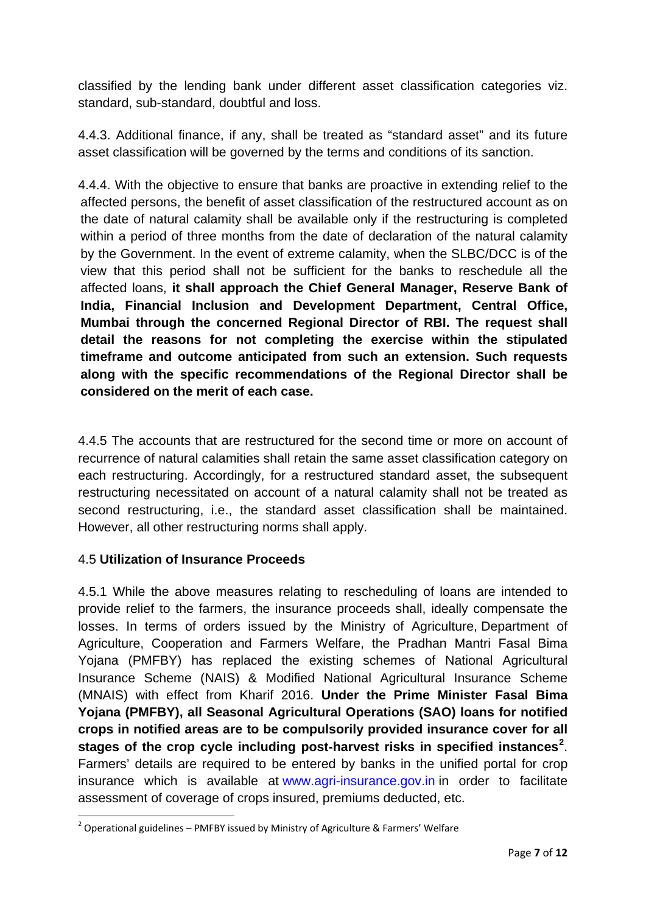classified by the lending bank under different asset classification categories viz. standard, sub-standard, doubtful and loss.

4.4.3. Additional finance, if any, shall be treated as "standard asset" and its future asset classification will be governed by the terms and conditions of its sanction.

4.4.4. With the objective to ensure that banks are proactive in extending relief to the affected persons, the benefit of asset classification of the restructured account as on the date of natural calamity shall be available only if the restructuring is completed within a period of three months from the date of declaration of the natural calamity by the Government. In the event of extreme calamity, when the SLBC/DCC is of the view that this period shall not be sufficient for the banks to reschedule all the affected loans, **it shall approach the Chief General Manager, Reserve Bank of India, Financial Inclusion and Development Department, Central Office, Mumbai through the concerned Regional Director of RBI. The request shall detail the reasons for not completing the exercise within the stipulated timeframe and outcome anticipated from such an extension. Such requests along with the specific recommendations of the Regional Director shall be considered on the merit of each case.**

4.4.5 The accounts that are restructured for the second time or more on account of recurrence of natural calamities shall retain the same asset classification category on each restructuring. Accordingly, for a restructured standard asset, the subsequent restructuring necessitated on account of a natural calamity shall not be treated as second restructuring, i.e., the standard asset classification shall be maintained. However, all other restructuring norms shall apply.

## 4.5 **Utilization of Insurance Proceeds**

4.5.1 While the above measures relating to rescheduling of loans are intended to provide relief to the farmers, the insurance proceeds shall, ideally compensate the losses. In terms of orders issued by the Ministry of Agriculture, Department of Agriculture, Cooperation and Farmers Welfare, the Pradhan Mantri Fasal Bima Yojana (PMFBY) has replaced the existing schemes of National Agricultural Insurance Scheme (NAIS) & Modified National Agricultural Insurance Scheme (MNAIS) with effect from Kharif 2016. **Under the Prime Minister Fasal Bima Yojana (PMFBY), all Seasonal Agricultural Operations (SAO) loans for notified crops in notified areas are to be compulsorily provided insurance cover for all stages of the crop cycle including post-harvest risks in specified instances[2](#page-6-0)** . Farmers' details are required to be entered by banks in the unified portal for crop insurance which is available at [www.agri-insurance.gov.in](http://www.agri-insurance.gov.in/) in order to facilitate assessment of coverage of crops insured, premiums deducted, etc.

<span id="page-6-0"></span> $2$  Operational guidelines – PMFBY issued by Ministry of Agriculture & Farmers' Welfare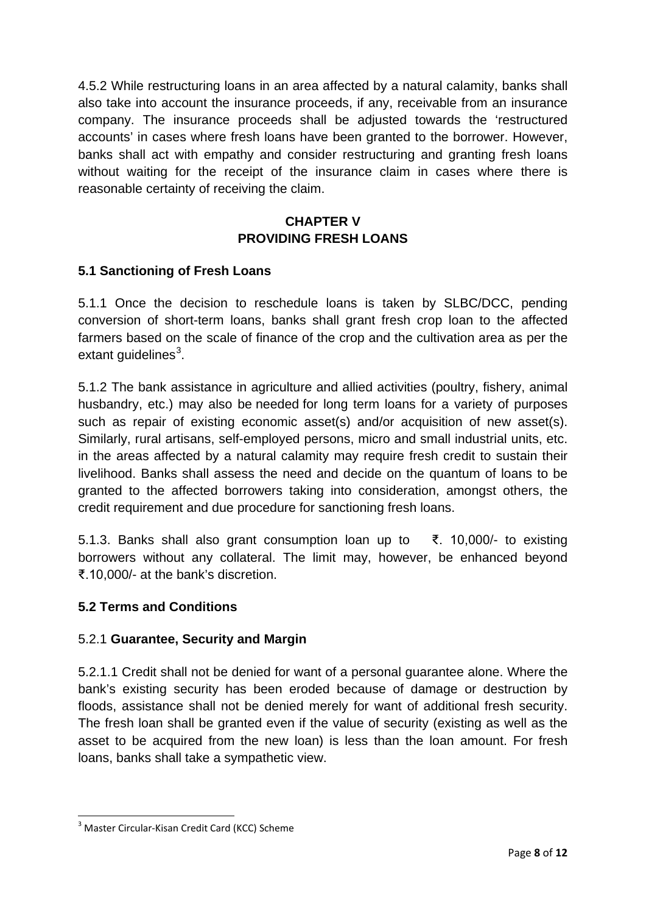4.5.2 While restructuring loans in an area affected by a natural calamity, banks shall also take into account the insurance proceeds, if any, receivable from an insurance company. The insurance proceeds shall be adjusted towards the 'restructured accounts' in cases where fresh loans have been granted to the borrower. However, banks shall act with empathy and consider restructuring and granting fresh loans without waiting for the receipt of the insurance claim in cases where there is reasonable certainty of receiving the claim.

# **CHAPTER V PROVIDING FRESH LOANS**

## <span id="page-7-0"></span>**5.1 Sanctioning of Fresh Loans**

5.1.1 Once the decision to reschedule loans is taken by SLBC/DCC, pending conversion of short-term loans, banks shall grant fresh crop loan to the affected farmers based on the scale of finance of the crop and the cultivation area as per the extant guidelines<sup>[3](#page-7-1)</sup>.

5.1.2 The bank assistance in agriculture and allied activities (poultry, fishery, animal husbandry, etc.) may also be needed for long term loans for a variety of purposes such as repair of existing economic asset(s) and/or acquisition of new asset(s). Similarly, rural artisans, self-employed persons, micro and small industrial units, etc. in the areas affected by a natural calamity may require fresh credit to sustain their livelihood. Banks shall assess the need and decide on the quantum of loans to be granted to the affected borrowers taking into consideration, amongst others, the credit requirement and due procedure for sanctioning fresh loans.

5.1.3. Banks shall also grant consumption loan up to ₹. 10,000/- to existing borrowers without any collateral. The limit may, however, be enhanced beyond ₹.10,000/- at the bank's discretion.

## **5.2 Terms and Conditions**

#### 5.2.1 **Guarantee, Security and Margin**

5.2.1.1 Credit shall not be denied for want of a personal guarantee alone. Where the bank's existing security has been eroded because of damage or destruction by floods, assistance shall not be denied merely for want of additional fresh security. The fresh loan shall be granted even if the value of security (existing as well as the asset to be acquired from the new loan) is less than the loan amount. For fresh loans, banks shall take a sympathetic view.

<span id="page-7-1"></span><sup>&</sup>lt;sup>3</sup> Master Circular-Kisan Credit Card (KCC) Scheme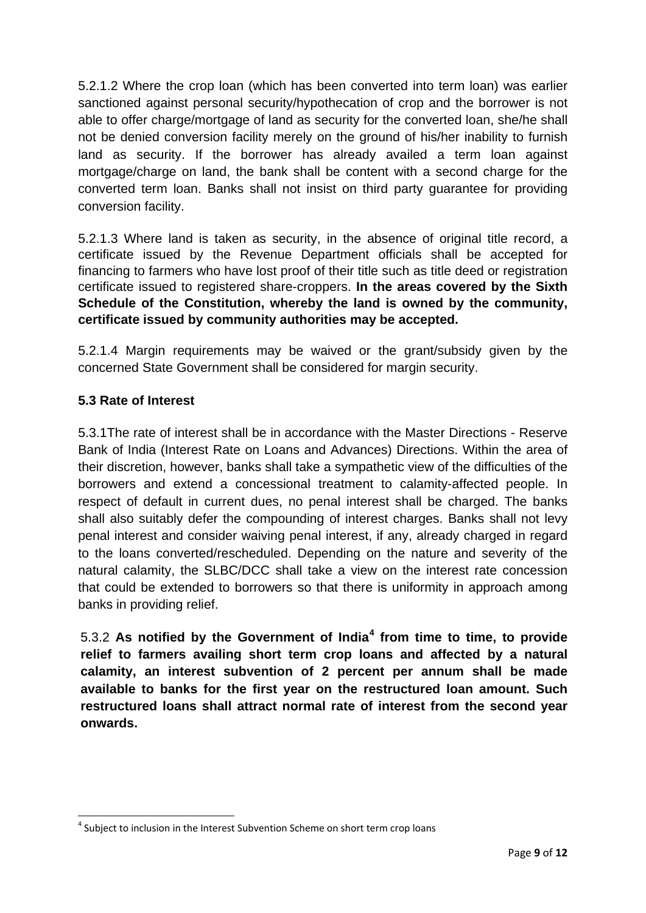5.2.1.2 Where the crop loan (which has been converted into term loan) was earlier sanctioned against personal security/hypothecation of crop and the borrower is not able to offer charge/mortgage of land as security for the converted loan, she/he shall not be denied conversion facility merely on the ground of his/her inability to furnish land as security. If the borrower has already availed a term loan against mortgage/charge on land, the bank shall be content with a second charge for the converted term loan. Banks shall not insist on third party guarantee for providing conversion facility.

5.2.1.3 Where land is taken as security, in the absence of original title record, a certificate issued by the Revenue Department officials shall be accepted for financing to farmers who have lost proof of their title such as title deed or registration certificate issued to registered share-croppers. **In the areas covered by the Sixth Schedule of the Constitution, whereby the land is owned by the community, certificate issued by community authorities may be accepted.** 

5.2.1.4 Margin requirements may be waived or the grant/subsidy given by the concerned State Government shall be considered for margin security.

# **5.3 Rate of Interest**

5.3.1The rate of interest shall be in accordance with the Master Directions - Reserve Bank of India (Interest Rate on Loans and Advances) Directions. Within the area of their discretion, however, banks shall take a sympathetic view of the difficulties of the borrowers and extend a concessional treatment to calamity-affected people. In respect of default in current dues, no penal interest shall be charged. The banks shall also suitably defer the compounding of interest charges. Banks shall not levy penal interest and consider waiving penal interest, if any, already charged in regard to the loans converted/rescheduled. Depending on the nature and severity of the natural calamity, the SLBC/DCC shall take a view on the interest rate concession that could be extended to borrowers so that there is uniformity in approach among banks in providing relief.

5.3.2 **As notified by the Government of India[4](#page-8-0) from time to time, to provide relief to farmers availing short term crop loans and affected by a natural calamity, an interest subvention of 2 percent per annum shall be made available to banks for the first year on the restructured loan amount. Such restructured loans shall attract normal rate of interest from the second year onwards.**

<span id="page-8-0"></span> $4$  Subject to inclusion in the Interest Subvention Scheme on short term crop loans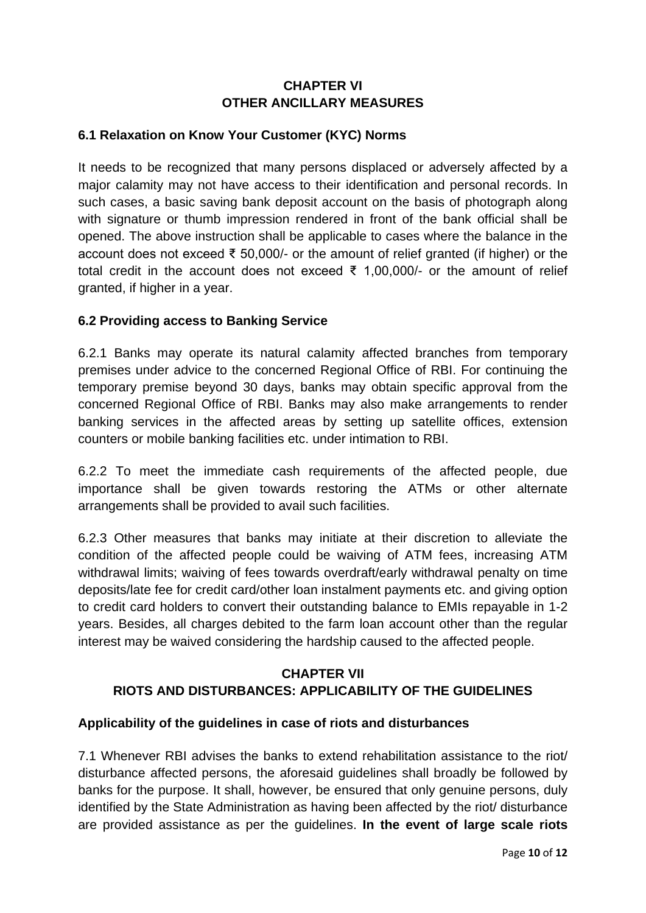# **CHAPTER VI OTHER ANCILLARY MEASURES**

#### <span id="page-9-0"></span>**6.1 Relaxation on Know Your Customer (KYC) Norms**

It needs to be recognized that many persons displaced or adversely affected by a major calamity may not have access to their identification and personal records. In such cases, a basic saving bank deposit account on the basis of photograph along with signature or thumb impression rendered in front of the bank official shall be opened. The above instruction shall be applicable to cases where the balance in the account does not exceed ₹ 50,000/- or the amount of relief granted (if higher) or the total credit in the account does not exceed ₹ 1,00,000/- or the amount of relief granted, if higher in a year.

#### **6.2 Providing access to Banking Service**

6.2.1 Banks may operate its natural calamity affected branches from temporary premises under advice to the concerned Regional Office of RBI. For continuing the temporary premise beyond 30 days, banks may obtain specific approval from the concerned Regional Office of RBI. Banks may also make arrangements to render banking services in the affected areas by setting up satellite offices, extension counters or mobile banking facilities etc. under intimation to RBI.

6.2.2 To meet the immediate cash requirements of the affected people, due importance shall be given towards restoring the ATMs or other alternate arrangements shall be provided to avail such facilities.

6.2.3 Other measures that banks may initiate at their discretion to alleviate the condition of the affected people could be waiving of ATM fees, increasing ATM withdrawal limits; waiving of fees towards overdraft/early withdrawal penalty on time deposits/late fee for credit card/other loan instalment payments etc. and giving option to credit card holders to convert their outstanding balance to EMIs repayable in 1-2 years. Besides, all charges debited to the farm loan account other than the regular interest may be waived considering the hardship caused to the affected people.

# **CHAPTER VII RIOTS AND DISTURBANCES: APPLICABILITY OF THE GUIDELINES**

#### **Applicability of the guidelines in case of riots and disturbances**

7.1 Whenever RBI advises the banks to extend rehabilitation assistance to the riot/ disturbance affected persons, the aforesaid guidelines shall broadly be followed by banks for the purpose. It shall, however, be ensured that only genuine persons, duly identified by the State Administration as having been affected by the riot/ disturbance are provided assistance as per the guidelines. **In the event of large scale riots**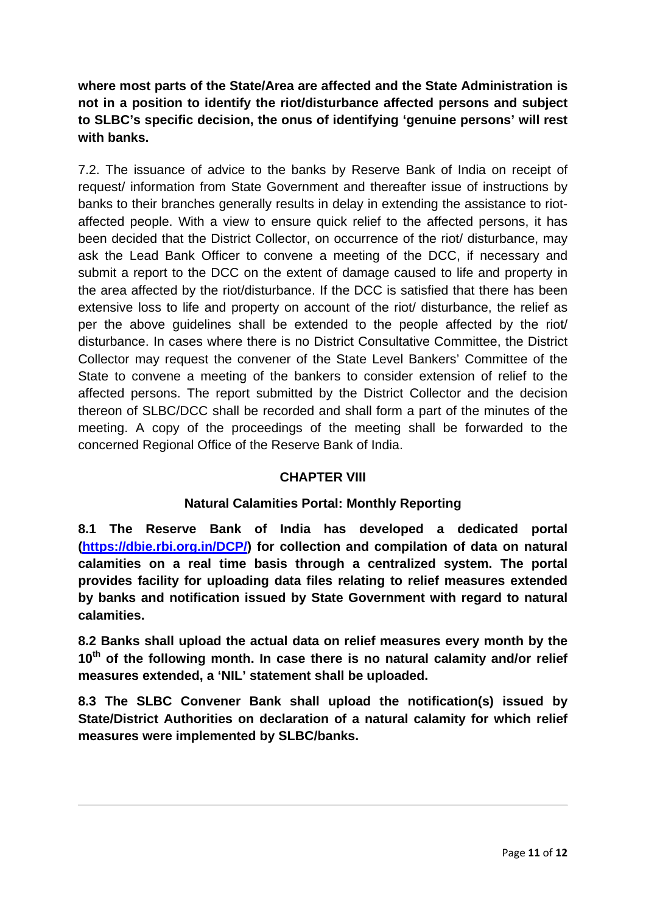**where most parts of the State/Area are affected and the State Administration is not in a position to identify the riot/disturbance affected persons and subject to SLBC's specific decision, the onus of identifying 'genuine persons' will rest with banks.**

7.2. The issuance of advice to the banks by Reserve Bank of India on receipt of request/ information from State Government and thereafter issue of instructions by banks to their branches generally results in delay in extending the assistance to riotaffected people. With a view to ensure quick relief to the affected persons, it has been decided that the District Collector, on occurrence of the riot/ disturbance, may ask the Lead Bank Officer to convene a meeting of the DCC, if necessary and submit a report to the DCC on the extent of damage caused to life and property in the area affected by the riot/disturbance. If the DCC is satisfied that there has been extensive loss to life and property on account of the riot/ disturbance, the relief as per the above guidelines shall be extended to the people affected by the riot/ disturbance. In cases where there is no District Consultative Committee, the District Collector may request the convener of the State Level Bankers' Committee of the State to convene a meeting of the bankers to consider extension of relief to the affected persons. The report submitted by the District Collector and the decision thereon of SLBC/DCC shall be recorded and shall form a part of the minutes of the meeting. A copy of the proceedings of the meeting shall be forwarded to the concerned Regional Office of the Reserve Bank of India.

## **CHAPTER VIII**

## **Natural Calamities Portal: Monthly Reporting**

**8.1 The Reserve Bank of India has developed a dedicated portal [\(https://dbie.rbi.org.in/DCP/\)](https://dbie.rbi.org.in/DCP/) for collection and compilation of data on natural calamities on a real time basis through a centralized system. The portal provides facility for uploading data files relating to relief measures extended by banks and notification issued by State Government with regard to natural calamities.**

**8.2 Banks shall upload the actual data on relief measures every month by the 10th of the following month. In case there is no natural calamity and/or relief measures extended, a 'NIL' statement shall be uploaded.**

**8.3 The SLBC Convener Bank shall upload the notification(s) issued by State/District Authorities on declaration of a natural calamity for which relief measures were implemented by SLBC/banks.**